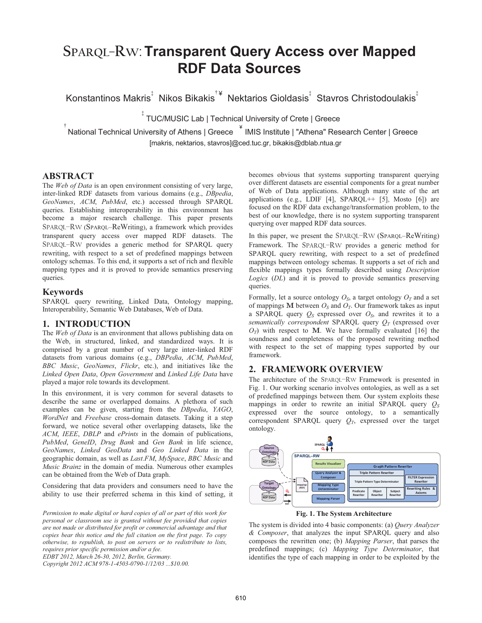# **SPARQL**‒**RW**:**Transparent Query Access over Mapped RDF Data Sources**

Konstantinos Makris<sup>‡</sup> Nikos Bikakis<sup>†¥</sup> Nektarios Gioldasis<sup>‡</sup> Stavros Christodoulakis<sup>‡</sup>

TUC/MUSIC Lab | Technical University of Crete | Greece

National Technical University of Athens | Greece  $\overline{\phantom{a}}^*$  IMIS Institute | "Athena" Research Center | Greece [makris, nektarios, stavros]@ced.tuc.gr, bikakis@dblab.ntua.gr

# **ABSTRACT**

†

The *Web of Data* is an open environment consisting of very large, inter-linked RDF datasets from various domains (e.g., *DBpedia*, *GeoNames*, *ACM*, *PubMed*, etc.) accessed through SPARQL queries. Establishing interoperability in this environment has become a major research challenge. This paper presents SPARQL–RW (SPARQL–ReWriting), a framework which provides transparent query access over mapped RDF datasets. The SPARQL-RW provides a generic method for SPARQL query rewriting, with respect to a set of predefined mappings between ontology schemas. To this end, it supports a set of rich and flexible mapping types and it is proved to provide semantics preserving queries.

‡

# **Keywords**

SPARQL query rewriting, Linked Data, Ontology mapping, Interoperability, Semantic Web Databases, Web of Data.

# **1. INTRODUCTION**

The *Web of Data* is an environment that allows publishing data on the Web, in structured, linked, and standardized ways. It is comprised by a great number of very large inter-linked RDF datasets from various domains (e.g., *DBPedia*, *ACM*, *PubMed*, *BBC Music*, *GeoNames*, *Flickr*, etc.), and initiatives like the *Linked Open Data*, *Open Government* and *Linked Life Data* have played a major role towards its development.

In this environment, it is very common for several datasets to describe the same or overlapped domains. A plethora of such examples can be given, starting from the *DBpedia*, *YAGO*, *WordNet* and *Freebase* cross-domain datasets. Taking it a step forward, we notice several other overlapping datasets, like the *ACM*, *IEEE*, *DBLP* and *ePrints* in the domain of publications, *PubMed*, *GeneID*, *Drug Bank* and *Gen Bank* in life science, *GeoNames*, *Linked GeoData* and *Geo Linked Data* in the geographic domain, as well as *Last.FM*, *MySpace*, *BBC Music* and *Music Brainz* in the domain of media. Numerous other examples can be obtained from the Web of Data graph.

Considering that data providers and consumers need to have the ability to use their preferred schema in this kind of setting, it

*Permission to make digital or hard copies of all or part of this work for personal or classroom use is granted without fee provided that copies are not made or distributed for profit or commercial advantage and that copies bear this notice and the full citation on the first page. To copy otherwise, to republish, to post on servers or to redistribute to lists, requires prior specific permission and/or a fee. EDBT 2012, March 26-30, 2012, Berlin, Germany.* 

*Copyright 2012 ACM 978-1-4503-0790-1/12/03 ...\$10.00.* 

becomes obvious that systems supporting transparent querying over different datasets are essential components for a great number of Web of Data applications. Although many state of the art applications (e.g., LDIF [4], SPARQL++ [5], Mosto [6]) are focused on the RDF data exchange/transformation problem, to the best of our knowledge, there is no system supporting transparent querying over mapped RDF data sources.

In this paper, we present the SPARQL–RW (SPARQL–ReWriting) Framework. The SPARQL-RW provides a generic method for SPARQL query rewriting, with respect to a set of predefined mappings between ontology schemas. It supports a set of rich and flexible mappings types formally described using *Description Logics* (*DL*) and it is proved to provide semantics preserving queries.

Formally, let a source ontology  $O_s$ , a target ontology  $O_T$  and a set of mappings **M** between  $O_S$  and  $O_T$ . Our framework takes as input a SPARQL query  $Q_S$  expressed over  $O_S$ , and rewrites it to a *semantically correspondent* SPARQL query  $O_T$  (expressed over  $O_T$ ) with respect to M. We have formally evaluated [16] the soundness and completeness of the proposed rewriting method with respect to the set of mapping types supported by our framework.

# **2. FRAMEWORK OVERVIEW**

The architecture of the SPARQL-RW Framework is presented in Fig. 1. Our working scenario involves ontologies, as well as a set of predefined mappings between them. Our system exploits these mappings in order to rewrite an initial SPARQL query  $Q_S$ expressed over the source ontology, to a semantically correspondent SPARQL query  $Q_T$ , expressed over the target ontology.



**Fig. 1. The System Architecture**

The system is divided into 4 basic components: (a) *Query Analyzer & Composer*, that analyzes the input SPARQL query and also composes the rewritten one; (b) *Mapping Parser*, that parses the predefined mappings; (c) *Mapping Type Determinator*, that identifies the type of each mapping in order to be exploited by the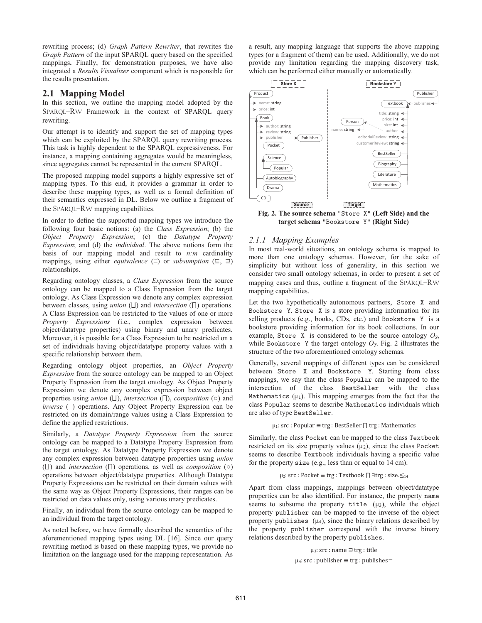rewriting process; (d) *Graph Pattern Rewriter*, that rewrites the *Graph Pattern* of the input SPARQL query based on the specified mappings**.** Finally, for demonstration purposes, we have also integrated a *Results Visualizer* component which is responsible for the results presentation.

# **2.1 Mapping Model**

In this section, we outline the mapping model adopted by the SPARQL-RW Framework in the context of SPARQL query rewriting.

Our attempt is to identify and support the set of mapping types which can be exploited by the SPARQL query rewriting process. This task is highly dependent to the SPARQL expressiveness. For instance, a mapping containing aggregates would be meaningless, since aggregates cannot be represented in the current SPARQL.

The proposed mapping model supports a highly expressive set of mapping types. To this end, it provides a grammar in order to describe these mapping types, as well as a formal definition of their semantics expressed in DL. Below we outline a fragment of the SPARQL–RW mapping capabilities.

In order to define the supported mapping types we introduce the following four basic notions: (a) the *Class Expression*; (b) the *Object Property Expression*; (c) the *Datatype Property Expression*; and (d) the *individual*. The above notions form the basis of our mapping model and result to *n:m* cardinality mappings, using either *equivalence* ( $\equiv$ ) or *subsumption* ( $\sqsubseteq$ ,  $\sqsupseteq$ ) relationships.

Regarding ontology classes, a *Class Expression* from the source ontology can be mapped to a Class Expression from the target ontology. As Class Expression we denote any complex expression between classes, using *union*  $(L)$  and *intersection*  $(\Pi)$  operations. A Class Expression can be restricted to the values of one or more *Property Expressions* (i.e., complex expression between object/datatype properties) using binary and unary predicates. Moreover, it is possible for a Class Expression to be restricted on a set of individuals having object/datatype property values with a specific relationship between them.

Regarding ontology object properties, an *Object Property Expression* from the source ontology can be mapped to an Object Property Expression from the target ontology. As Object Property Expression we denote any complex expression between object properties using *union* ( $\Box$ ), *intersection* ( $\Box$ ), *composition* ( $\circ$ ) and *inverse* (-) operations. Any Object Property Expression can be restricted on its domain/range values using a Class Expression to define the applied restrictions.

Similarly, a *Datatype Property Expression* from the source ontology can be mapped to a Datatype Property Expression from the target ontology. As Datatype Property Expression we denote any complex expression between datatype properties using *union* ( $\Box$ ) and *intersection* ( $\Box$ ) operations, as well as *composition* ( $\circ$ ) operations between object/datatype properties. Although Datatype Property Expressions can be restricted on their domain values with the same way as Object Property Expressions, their ranges can be restricted on data values only, using various unary predicates.

Finally, an individual from the source ontology can be mapped to an individual from the target ontology.

As noted before, we have formally described the semantics of the aforementioned mapping types using DL [16]. Since our query rewriting method is based on these mapping types, we provide no limitation on the language used for the mapping representation. As a result, any mapping language that supports the above mapping types (or a fragment of them) can be used. Additionally, we do not provide any limitation regarding the mapping discovery task, which can be performed either manually or automatically.



**target schema** "Bookstore Y" **(Right Side)** 

# *2.1.1 Mapping Examples*

In most real-world situations, an ontology schema is mapped to more than one ontology schemas. However, for the sake of simplicity but without loss of generality, in this section we consider two small ontology schemas, in order to present a set of mapping cases and thus, outline a fragment of the SPARQL-RW mapping capabilities.

Let the two hypothetically autonomous partners, Store X and Bookstore Y. Store X is a store providing information for its selling products (e.g., books, CDs, etc.) and Bookstore Y is a bookstore providing information for its book collections. In our example, Store X is considered to be the source ontology  $O<sub>S</sub>$ , while Bookstore Y the target ontology  $O_T$ . Fig. 2 illustrates the structure of the two aforementioned ontology schemas.

Generally, several mappings of different types can be considered between Store X and Bookstore Y. Starting from class mappings, we say that the class Popular can be mapped to the intersection of the class BestSeller with the class Mathematics  $(\mu_1)$ . This mapping emerges from the fact that the class Popular seems to describe Mathematics individuals which are also of type BestSeller.

#### $\mu_1$ : src : Popular  $\equiv$  trg : BestSeller  $\sqcap$  trg : Mathematics

Similarly, the class Pocket can be mapped to the class Textbook restricted on its size property values  $(\mu_2)$ , since the class Pocket seems to describe Textbook individuals having a specific value for the property size (e.g., less than or equal to 14 cm).

#### µ2: src : Pocket ≡ trg : Textbook ∏ ∃trg : size. $\leq_{14}$

Apart from class mappings, mappings between object/datatype properties can be also identified. For instance, the property name seems to subsume the property title  $(\mu_3)$ , while the object property publisher can be mapped to the inverse of the object property publishes  $(\mu_4)$ , since the binary relations described by the property publisher correspond with the inverse binary relations described by the property publishes.

μ<sub>3</sub>: src : name ⊒ trg : title

```
\mu_4: src : publisher \equiv trg : publishes -
```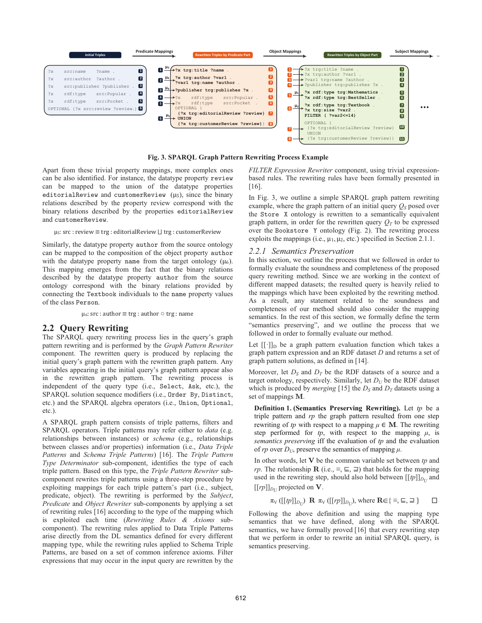

**Fig. 3. SPARQL Graph Pattern Rewriting Process Example** 

Apart from these trivial property mappings, more complex ones can be also identified. For instance, the datatype property review can be mapped to the union of the datatype properties editorialReview and customerReview  $(\mu_5)$ , since the binary relations described by the property review correspond with the binary relations described by the properties editorialReview and customerReview.

 $\mu$ <sub>5</sub>: src : review  $\equiv$  trg : editorial Review  $\sqcup$  trg : customer Review

Similarly, the datatype property author from the source ontology can be mapped to the composition of the object property author with the datatype property name from the target ontology  $(\mu_6)$ . This mapping emerges from the fact that the binary relations described by the datatype property author from the source ontology correspond with the binary relations provided by connecting the Textbook individuals to the name property values of the class Person.

 $\mu_6$ : src : author  $\equiv$  trg : author  $\circ$  trg : name

#### **2.2 Query Rewriting**

The SPARQL query rewriting process lies in the query's graph pattern rewriting and is performed by the *Graph Pattern Rewriter* component. The rewritten query is produced by replacing the initial query's graph pattern with the rewritten graph pattern. Any variables appearing in the initial query's graph pattern appear also in the rewritten graph pattern. The rewriting process is independent of the query type (i.e., Select, Ask, etc.), the SPARQL solution sequence modifiers (i.e., Order By, Distinct, etc.) and the SPARQL algebra operators (i.e., Union, Optional, etc.).

A SPARQL graph pattern consists of triple patterns, filters and SPARQL operators. Triple patterns may refer either to *data* (e.g. relationships between instances) or *schema* (e.g., relationships between classes and/or properties) information (i.e., *Data Triple Patterns* and *Schema Triple Patterns*) [16]. The *Triple Pattern Type Determinator* sub-component, identifies the type of each triple pattern. Based on this type, the *Triple Pattern Rewriter* subcomponent rewrites triple patterns using a three-step procedure by exploiting mappings for each triple pattern's part (i.e., subject, predicate, object). The rewriting is performed by the *Subject*, *Predicate* and *Object Rewriter* sub-components by applying a set of rewriting rules [16] according to the type of the mapping which is exploited each time (*Rewriting Rules & Axioms* subcomponent). The rewriting rules applied to Data Triple Patterns arise directly from the DL semantics defined for every different mapping type, while the rewriting rules applied to Schema Triple Patterns, are based on a set of common inference axioms. Filter expressions that may occur in the input query are rewritten by the *FILTER Expression Rewriter* component, using trivial expressionbased rules. The rewriting rules have been formally presented in [16].

In Fig. 3, we outline a simple SPARQL graph pattern rewriting example, where the graph pattern of an initial query  $Q<sub>S</sub>$  posed over the Store X ontology is rewritten to a semantically equivalent graph pattern, in order for the rewritten query  $Q_T$  to be expressed over the Bookstore Y ontology (Fig. 2). The rewriting process exploits the mappings (i.e.,  $\mu_1, \mu_2$ , etc.) specified in Section 2.1.1.

#### *2.2.1 Semantics Preservation*

In this section, we outline the process that we followed in order to formally evaluate the soundness and completeness of the proposed query rewriting method. Since we are working in the context of different mapped datasets; the resulted query is heavily relied to the mappings which have been exploited by the rewriting method. As a result, any statement related to the soundness and completeness of our method should also consider the mapping semantics. In the rest of this section, we formally define the term "semantics preserving", and we outline the process that we followed in order to formally evaluate our method.

Let  $[[\cdot]]_D$  be a graph pattern evaluation function which takes a graph pattern expression and an RDF dataset *D* and returns a set of graph pattern solutions, as defined in [14].

Moreover, let  $D<sub>S</sub>$  and  $D<sub>T</sub>$  be the RDF datasets of a source and a target ontology, respectively. Similarly, let  $D_U$  be the RDF dataset which is produced by *merging* [15] the  $D<sub>S</sub>$  and  $D<sub>T</sub>$  datasets using a set of mappings **M**.

**Definition 1. (Semantics Preserving Rewriting).** Let *tp* be a triple pattern and *rp* the graph pattern resulted from one step rewriting of *tp* with respect to a mapping  $\mu \in M$ . The rewriting step performed for  $tp$ , with respect to the mapping  $\mu$ , is *semantics preserving* iff the evaluation of *tp* and the evaluation of *rp* over  $D_U$ , preserve the semantics of mapping  $\mu$ .

In other words, let **V** be the common variable set between *tp* and *rp*. The relationship **R** (i.e.,  $\equiv$ ,  $\sqsubseteq$ ,  $\sqsupseteq$ ) that holds for the mapping used in the rewriting step, should also hold between  $[[tp]]_{D_U}$  and  $[[rp]]_{D_U}$  projected on **V**.

 $\pi_V([\![tp]]_{D_U})$  **R**  $\pi_V([\![rp]]_{D_U})$ , where **R** $\in \{\equiv, \sqsubseteq, \sqsupseteq\}$   $\Box$ 

Following the above definition and using the mapping type semantics that we have defined, along with the SPARQL semantics, we have formally proved [16] that every rewriting step that we perform in order to rewrite an initial SPARQL query, is semantics preserving.